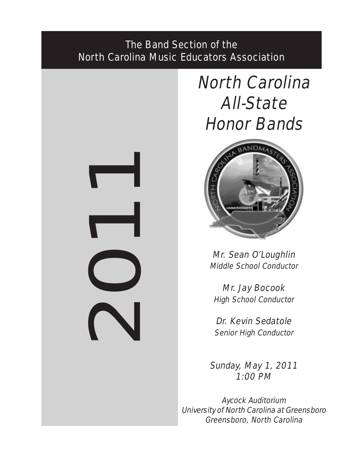# The Band Section of the North Carolina Music Educators Association

20

# North Carolina All-State Honor Bands



Mr. Sean O'Loughlin Middle School Conductor

Mr. Jay Bocook High School Conductor

Dr. Kevin Sedatole Senior High Conductor

Sunday, May 1, 2011 1:00 PM

Aycock Auditorium University of North Carolina at Greensboro Greensboro, North Carolina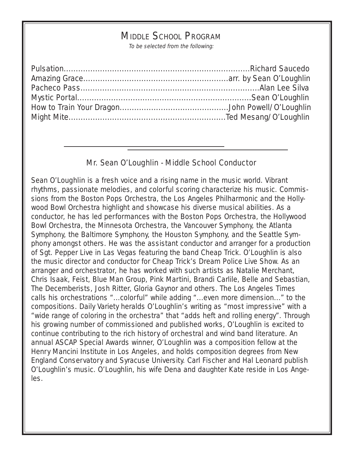# MIDDLE SCHOOL PROGRAM

To be selected from the following:

# Mr. Sean O'Loughlin - Middle School Conductor

Sean O'Loughlin is a fresh voice and a rising name in the music world. Vibrant rhythms, passionate melodies, and colorful scoring characterize his music. Commissions from the Boston Pops Orchestra, the Los Angeles Philharmonic and the Hollywood Bowl Orchestra highlight and showcase his diverse musical abilities. As a conductor, he has led performances with the Boston Pops Orchestra, the Hollywood Bowl Orchestra, the Minnesota Orchestra, the Vancouver Symphony, the Atlanta Symphony, the Baltimore Symphony, the Houston Symphony, and the Seattle Symphony amongst others. He was the assistant conductor and arranger for a production of Sgt. Pepper Live in Las Vegas featuring the band Cheap Trick. O'Loughlin is also the music director and conductor for Cheap Trick's Dream Police Live Show. As an arranger and orchestrator, he has worked with such artists as Natalie Merchant, Chris Isaak, Feist, Blue Man Group, Pink Martini, Brandi Carlile, Belle and Sebastian, The Decemberists, Josh Ritter, Gloria Gaynor and others. The Los Angeles Times calls his orchestrations "...colorful" while adding "...even more dimension..." to the compositions. Daily Variety heralds O'Loughlin's writing as "most impressive" with a "wide range of coloring in the orchestra" that "adds heft and rolling energy". Through his growing number of commissioned and published works, O'Loughlin is excited to continue contributing to the rich history of orchestral and wind band literature. An annual ASCAP Special Awards winner, O'Loughlin was a composition fellow at the Henry Mancini Institute in Los Angeles, and holds composition degrees from New England Conservatory and Syracuse University. Carl Fischer and Hal Leonard publish O'Loughlin's music. O'Loughlin, his wife Dena and daughter Kate reside in Los Angeles.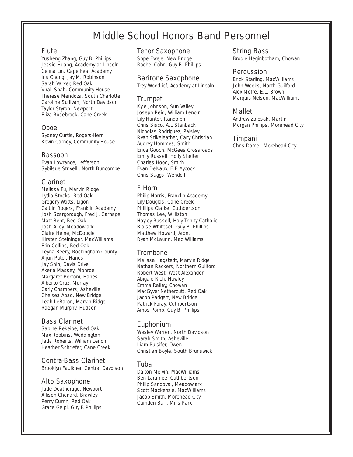# Middle School Honors Band Personnel

#### Flute

Yusheng Zhang, Guy B. Phillips Jessie Huang, Academy at Lincoln Celina Lin, Cape Fear Academy Iris Chong, Jay M. Robinson Sarah Varker, Red Oak Virali Shah. Community House Therese Mendoza, South Charlotte Caroline Sullivan, North Davidson Taylor Styron, Newport Eliza Rosebrock, Cane Creek

# Oboe

Sydney Curtis, Rogers-Herr Kevin Carney, Community House

#### Bassoon

Evan Lowrance, Jefferson Sybilsue Strivelli, North Buncombe

# Clarinet

Melissa Fu, Marvin Ridge Lydia Stocks, Red Oak Gregory Watts, Ligon Caitlin Rogers, Franklin Academy Josh Scargorough, Fred J. Carnage Matt Bent, Red Oak Josh Alley, Meadowlark Claire Heine, McDougle Kirsten Steininger, MacWilliams Erin Collins, Red Oak Leyna Beery, Rockingham County Arjun Patel, Hanes Jay Shin, Davis Drive Akeria Massey, Monroe Margaret Bertoni, Hanes Alberto Cruz, Murray Carly Chambers, Asheville Chelsea Abad, New Bridge Leah LeBaron, Marvin Ridge Raegan Murphy, Hudson

# Bass Clarinet

Sabine Rekeibe, Red Oak Max Robbins, Weddington Jada Roberts, William Lenoir Heather Schriefer, Cane Creek

#### Contra-Bass Clarinet

Brooklyn Faulkner, Central Davdison

#### Alto Saxophone

Jade Deatherage, Newport Allison Chenard, Brawley Perry Currin, Red Oak Grace Gelpi, Guy B Phillips

#### Tenor Saxophone

Sope Eweje, New Bridge Rachel Cohn, Guy B. Phillips

#### Baritone Saxophone

Trey Woodlief, Academy at Lincoln

# Trumpet

Kyle Johnson, Sun Valley Joseph Reid, William Lenoir Lily Hunter, Randolph Chris Sisco, A.L Stanback Nicholas Rodriguez, Paisley Ryan Stikeleather, Cary Christian Audrey Hommes, Smith Erica Gooch, McGees Crossroads Emily Russell, Holly Shelter Charles Hood, Smith Evan DeIvaux, E.B Aycock Chris Suggs, Wendell

# F Horn

Philip Norris, Franklin Academy Lily Douglas, Cane Creek Phillips Clarke, Cuthbertson Thomas Lee, Williston Hayley Russell, Holy Trinity Catholic Blaise Whitesell, Guy B. Phillips Matthew Howard, Ardnt Ryan McLaurin, Mac Williams

# Trombone

Melissa Hagstedt, Marvin Ridge Nathan Rackers, Northern Guilford Robert West, West Alexander Abigale Rich, Hawley Emma Railey, Chowan MacGyver Nethercutt, Red Oak Jacob Padgett, New Bridge Patrick Foray, Cuthbertson Amos Pomp, Guy B. Phillips

#### Euphonium

Wesley Warren, North Davidson Sarah Smith, Asheville Liam Pulsifer, Owen Christian Boyle, South Brunswick

#### Tuba

Dalton Melvin, MacWilliams Ben Laramee, Cuthbertson Philip Sandoval, Meadowlark Scott Mackenzie, MacWilliams Jacob Smith, Morehead City Camden Burr, Mills Park

String Bass

Brodie Heginbotham, Chowan

#### Percussion

Erick Starling, MacWilliams John Weeks, North Guilford Alex Moffe, E.L. Brown Marquis Nelson, MacWilliams

# Mallet

Andrew Zalesak, Martin Morgan Phillips, Morehead City

#### Timpani

Chris Domel, Morehead City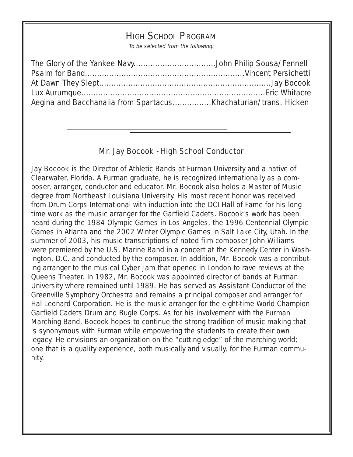# HIGH SCHOOL PROGRAM

To be selected from the following:

# Mr. Jay Bocook - High School Conductor

Jay Bocook is the Director of Athletic Bands at Furman University and a native of Clearwater, Florida. A Furman graduate, he is recognized internationally as a composer, arranger, conductor and educator. Mr. Bocook also holds a Master of Music degree from Northeast Louisiana University. His most recent honor was received from Drum Corps International with induction into the DCI Hall of Fame for his long time work as the music arranger for the Garfield Cadets. Bocook's work has been heard during the 1984 Olympic Games in Los Angeles, the 1996 Centennial Olympic Games in Atlanta and the 2002 Winter Olympic Games in Salt Lake City, Utah. In the summer of 2003, his music transcriptions of noted film composer John Williams were premiered by the U.S. Marine Band in a concert at the Kennedy Center in Washington, D.C. and conducted by the composer. In addition, Mr. Bocook was a contributing arranger to the musical Cyber Jam that opened in London to rave reviews at the Queens Theater. In 1982, Mr. Bocook was appointed director of bands at Furman University where remained until 1989. He has served as Assistant Conductor of the Greenville Symphony Orchestra and remains a principal composer and arranger for Hal Leonard Corporation. He is the music arranger for the eight-time World Champion Garfield Cadets Drum and Bugle Corps. As for his involvement with the Furman Marching Band, Bocook hopes to continue the strong tradition of music making that is synonymous with Furman while empowering the students to create their own legacy. He envisions an organization on the "cutting edge" of the marching world; one that is a quality experience, both musically and visually, for the Furman community.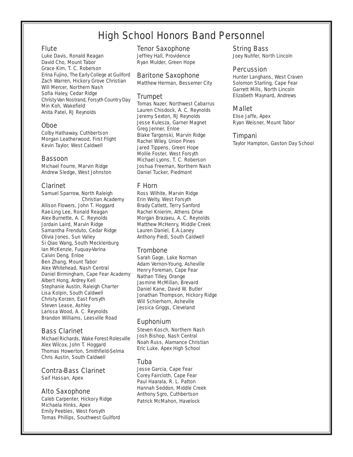# High School Honors Band Personnel

#### Flute

Luke Davis, Ronald Reagan David Cho, Mount Tabor Grace Kim, T. C. Roberson Erina Fujino, The Early College at Guilford Zach Warren, Hickory Grove Christian Will Mercer, Northern Nash Sofia Haley, Cedar Ridge Christy Van Nostrand, Forsyth Country Day Min Koh, Wakefield Anita Patel, RJ Reynolds

#### Oboe

Colby Hathaway, Cuthbertson Morgan Leatherwood, First Flight Kevin Taylor, West Caldwell

#### Bassoon

Michael Fourre, Marvin Ridge Andrew Sledge, West Johnston

# Clarinet

Samuel Sparrow, North Raleigh Christian Academy Allison Flowers, John T. Hoggard Rae-Ling Lee, Ronald Reagan Alex Burnette, A. C. Reynolds Jordain Laird, Marvin Ridge Samantha Frenduto, Cedar Ridge Olivia Jones, Sun Valley Si Qiao Wang, South Mecklenburg Ian McKenzie, Fuquay-Varina Calvin Deng, Enloe Ben Zhang, Mount Tabor Alex Whitehead, Nash Central Daniel Birmingham, Cape Fear Academy Albert Hong, Ardrey Kell Stephanie Austin, Raleigh Charter Lisa Kolpin, South Caldwell Christy Korzen, East Forsyth Steven Lease, Ashley Larissa Wood, A. C. Reynolds Brandon Williams, Leesville Road

# Bass Clarinet

Michael Richards, Wake Forest Rolesville Alex Wilcox, John T. Hoggard Thomas Howerton, Smithfield-Selma Chris Austin, South Caldwell

# Contra-Bass Clarinet

Saif Hassan, Apex

#### Alto Saxophone

Caleb Carpenter, Hickory Ridge Michaela Hinks, Apex Emily Peebles, West Forsyth Tomas Phillips, Southwest Guilford

#### Tenor Saxophone

Jeffrey Hall, Providence Ryan Mulder, Green Hope

#### Baritone Saxophone

Matthew Herman, Bessemer City

# Trumpet

Tomas Nazer, Northwest Cabarrus Lauren Chisdock, A. C. Reynolds Jeremy Sexton, RJ Reynolds Jesse Kulesza, Garner Magnet Greg Jenner, Enloe Blake Targonski, Marvin Ridge Rachel Wiley, Union Pines Jared Tippens, Green Hope Mollie Foster, West Forsyth Michael Lyons, T. C. Roberson Joshua Freeman, Northern Nash Daniel Tucker, Piedmont

# F Horn

Ross Wilhite, Marvin Ridge Erin Welty, West Forsyth Brady Catlett, Terry Sanford Rachel Knierim, Athens Drive Morgan Brazaeu, A. C. Reynolds Matthew McHenry, Middle Creek Lauren Daniel, E.A.Laney Anthony Piedl, South Caldwell

# **Trombone**

Sarah Gage, Lake Norman Adam Vernon-Young, Asheville Henry Foreman, Cape Fear Nathan Tilley, Orange Jasmine McMillan, Brevard Daniel Kane, David W. Butler Jonathan Thompson, Hickory Ridge Will Schierhorn, Asheville Jessica Griggs, Cleveland

# Euphonium

Steven Kosch, Northern Nash Josh Bishop, Nash Central Noah Russ, Alamance Christian Eric Luke, Apex High School

# Tuba

Jesse Garcia, Cape Fear Corey Faircloth, Cape Fear Paul Haarala, R. L. Patton Hannah Seddon, Middle Creek Anthony Sgro, Cuthbertson Patrick McMahon, Havelock

# String Bass

Joey Nuhfer, North Lincoln

#### Percussion

Hunter Langhans, West Craven Solomon Starling, Cape Fear Garrett Mills, North Lincoln Elizabeth Maynard, Andrews

# Mallet

Elise Jaffe, Apex Ryan Weisner, Mount Tabor

# Timpani

Taylor Hampton, Gaston Day School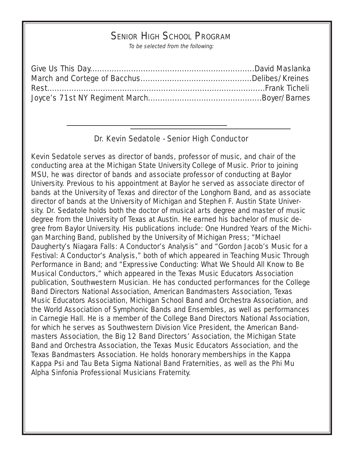# SENIOR HIGH SCHOOL PROGRAM

To be selected from the following:

# Dr. Kevin Sedatole - Senior High Conductor

Kevin Sedatole serves as director of bands, professor of music, and chair of the conducting area at the Michigan State University College of Music. Prior to joining MSU, he was director of bands and associate professor of conducting at Baylor University. Previous to his appointment at Baylor he served as associate director of bands at the University of Texas and director of the Longhorn Band, and as associate director of bands at the University of Michigan and Stephen F. Austin State University. Dr. Sedatole holds both the doctor of musical arts degree and master of music degree from the University of Texas at Austin. He earned his bachelor of music degree from Baylor University. His publications include: One Hundred Years of the Michigan Marching Band, published by the University of Michigan Press; "Michael Daugherty's Niagara Falls: A Conductor's Analysis" and "Gordon Jacob's Music for a Festival: A Conductor's Analysis," both of which appeared in Teaching Music Through Performance in Band; and "Expressive Conducting: What We Should All Know to Be Musical Conductors," which appeared in the Texas Music Educators Association publication, Southwestern Musician. He has conducted performances for the College Band Directors National Association, American Bandmasters Association, Texas Music Educators Association, Michigan School Band and Orchestra Association, and the World Association of Symphonic Bands and Ensembles, as well as performances in Carnegie Hall. He is a member of the College Band Directors National Association, for which he serves as Southwestern Division Vice President, the American Bandmasters Association, the Big 12 Band Directors' Association, the Michigan State Band and Orchestra Association, the Texas Music Educators Association, and the Texas Bandmasters Association. He holds honorary memberships in the Kappa Kappa Psi and Tau Beta Sigma National Band Fraternities, as well as the Phi Mu Alpha Sinfonia Professional Musicians Fraternity.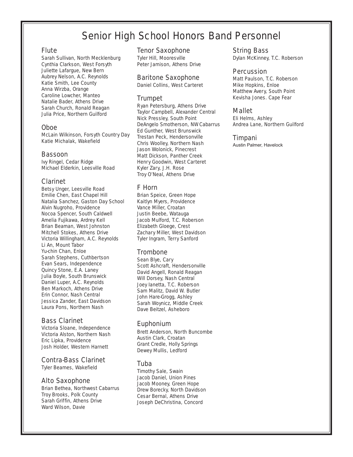# Senior High School Honors Band Personnel

#### **Flute**

Sarah Sullivan, North Mecklenburg Cynthia Clarkson, West Forsyth Juliette Lafargue, New Bern Aubrey Nelson, A.C. Reynolds Katie Smith, Lee County Anna Wirzba, Orange Caroline Lowcher, Manteo Natalie Bader, Athens Drive Sarah Church, Ronald Reagan Julia Price, Northern Guilford

# Oboe

McLain Wilkinson, Forsyth Country Day Katie Michalak, Wakefield

#### Bassoon

Ivy Ringel, Cedar Ridge Michael Elderkin, Leesville Road

# Clarinet

Betsy Unger, Leesville Road Emilie Chen, East Chapel Hill Natalia Sanchez, Gaston Day School Alvin Nugroho, Providence Nocoa Spencer, South Caldwell Amelia Fujikawa, Ardrey Kell Brian Beaman, West Johnston Mitchell Stokes, Athens Drive Victoria Willingham, A.C. Reynolds Li An, Mount Tabor Yu-chin Chan, Enloe Sarah Stephens, Cuthbertson Evan Sears, Independence Quincy Stone, E.A. Laney Julia Boyle, South Brunswick Daniel Luper, A.C. Reynolds Ben Markoch, Athens Drive Erin Connor, Nash Central Jessica Zander, East Davidson Laura Pons, Northern Nash

# Bass Clarinet

Victoria Sloane, Independence Victoria Alston, Northern Nash Eric Lipka, Providence Josh Holder, Western Harnett

# Contra-Bass Clarinet

Tyler Beames, Wakefield

#### Alto Saxophone

Brian Bethea, Northwest Cabarrus Troy Brooks, Polk County Sarah Griffin, Athens Drive Ward Wilson, Davie

#### Tenor Saxophone

Tyler Hill, Mooresville Peter Jamison, Athens Drive

#### Baritone Saxophone

Daniel Collins, West Carteret

# Trumpet

Ryan Petersburg, Athens Drive Taylor Campbell, Alexander Central Nick Pressley, South Point DeAngelo Smotherson, NW Cabarrus Ed Gunther, West Brunswick Trestan Peck, Hendersonville Chris Woolley, Northern Nash Jason Wolonick, Pinecrest Matt Dickson, Panther Creek Henry Goodwin, West Carteret Kyler Zary, J.H. Rose Troy O'Neal, Athens Drive

# F Horn

Brian Speice, Green Hope Kaitlyn Myers, Providence Vance Miller, Croatan Justin Beebe, Watauga Jacob Mulford, T.C. Roberson Elizabeth Gloege, Crest Zachary Miller, West Davidson Tyler Ingram, Terry Sanford

# Trombone

Sean Blye, Cary Scott Ashcraft, Hendersonville David Angell, Ronald Reagan Will Dorsey, Nash Central Joey Ianetta, T.C. Roberson Sam Malitz, David W. Butler John Hare-Grogg, Ashley Sarah Woynicz, Middle Creek Dave Beitzel, Asheboro

# Euphonium

Brett Anderson, North Buncombe Austin Clark, Croatan Grant Credle, Holly Springs Dewey Mullis, Ledford

#### Tuba

Timothy Sale, Swain Jacob Daniel, Union Pines Jacob Mooney, Green Hope Drew Borecky, North Davidson Cesar Bernal, Athens Drive Joseph DeChristina, Concord

String Bass Dylan McKinney, T.C. Roberson

#### **Percussion**

Matt Paulson, T.C. Roberson Mike Hopkins, Enloe Matthew Avery, South Point Kevisha Jones. Cape Fear

# Mallet

Eli Helms, Ashley Andrea Lane, Northern Guilford

#### Timpani

Austin Palmer, Havelock